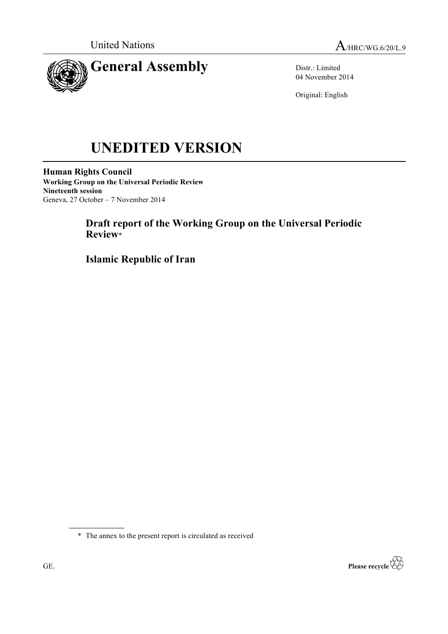



Distr.: Limited 04 November 2014

Original: English

# **UNEDITED VERSION**

**Human Rights Council Working Group on the Universal Periodic Review Nineteenth session** Geneva, 27 October – 7 November 2014

## **Draft report of the Working Group on the Universal Periodic Review\***

**Islamic Republic of Iran**

\* The annex to the present report is circulated as received

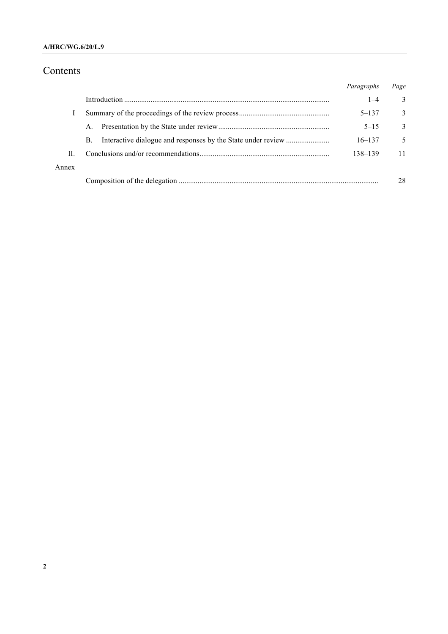# Contents

|       |         | Paragraphs | Page |
|-------|---------|------------|------|
|       |         | $1 - 4$    | 3    |
|       |         | $5 - 137$  | 3    |
|       | $A_{-}$ | $5 - 15$   | 3    |
|       | В.      | $16 - 137$ | 5    |
| Н.    |         | 138-139    | 11   |
| Annex |         |            |      |
|       |         |            | 28   |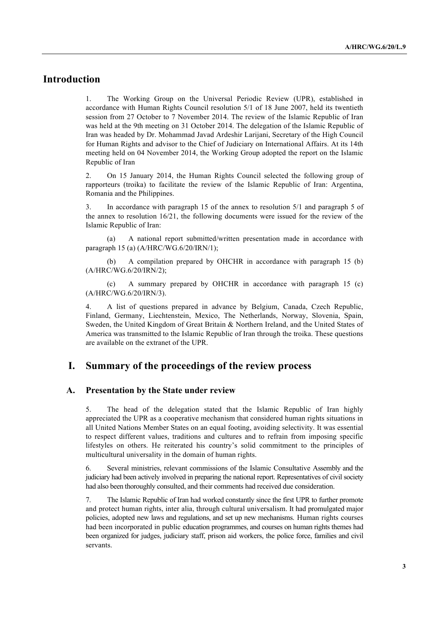### **Introduction**

1. The Working Group on the Universal Periodic Review (UPR), established in accordance with Human Rights Council resolution 5/1 of 18 June 2007, held its twentieth session from 27 October to 7 November 2014. The review of the Islamic Republic of Iran was held at the 9th meeting on 31 October 2014. The delegation of the Islamic Republic of Iran was headed by Dr. Mohammad Javad Ardeshir Larijani, Secretary of the High Council for Human Rights and advisor to the Chief of Judiciary on International Affairs. At its 14th meeting held on 04 November 2014, the Working Group adopted the report on the Islamic Republic of Iran

2. On 15 January 2014, the Human Rights Council selected the following group of rapporteurs (troika) to facilitate the review of the Islamic Republic of Iran: Argentina, Romania and the Philippines.

3. In accordance with paragraph 15 of the annex to resolution 5/1 and paragraph 5 of the annex to resolution 16/21, the following documents were issued for the review of the Islamic Republic of Iran:

(a) A national report submitted/written presentation made in accordance with paragraph 15 (a) (A/HRC/WG.6/20/IRN/1);

(b) A compilation prepared by OHCHR in accordance with paragraph 15 (b) (A/HRC/WG.6/20/IRN/2);

(c) A summary prepared by OHCHR in accordance with paragraph 15 (c) (A/HRC/WG.6/20/IRN/3).

4. A list of questions prepared in advance by Belgium, Canada, Czech Republic, Finland, Germany, Liechtenstein, Mexico, The Netherlands, Norway, Slovenia, Spain, Sweden, the United Kingdom of Great Britain & Northern Ireland, and the United States of America was transmitted to the Islamic Republic of Iran through the troika. These questions are available on the extranet of the UPR.

#### **I. Summary of the proceedings of the review process**

#### **A. Presentation by the State under review**

5. The head of the delegation stated that the Islamic Republic of Iran highly appreciated the UPR as a cooperative mechanism that considered human rights situations in all United Nations Member States on an equal footing, avoiding selectivity. It was essential to respect different values, traditions and cultures and to refrain from imposing specific lifestyles on others. He reiterated his country's solid commitment to the principles of multicultural universality in the domain of human rights.

6. Several ministries, relevant commissions of the Islamic Consultative Assembly and the judiciary had been actively involved in preparing the national report. Representatives of civil society had also been thoroughly consulted, and their comments had received due consideration.

7. The Islamic Republic of Iran had worked constantly since the first UPR to further promote and protect human rights, inter alia, through cultural universalism. It had promulgated major policies, adopted new laws and regulations, and set up new mechanisms. Human rights courses had been incorporated in public education programmes, and courses on human rights themes had been organized for judges, judiciary staff, prison aid workers, the police force, families and civil servants.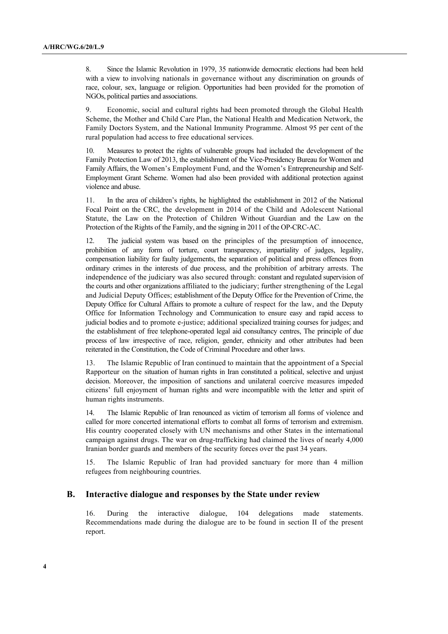8. Since the Islamic Revolution in 1979, 35 nationwide democratic elections had been held with a view to involving nationals in governance without any discrimination on grounds of race, colour, sex, language or religion. Opportunities had been provided for the promotion of NGOs, political parties and associations.

9. Economic, social and cultural rights had been promoted through the Global Health Scheme, the Mother and Child Care Plan, the National Health and Medication Network, the Family Doctors System, and the National Immunity Programme. Almost 95 per cent of the rural population had access to free educational services.

10. Measures to protect the rights of vulnerable groups had included the development of the Family Protection Law of 2013, the establishment of the Vice-Presidency Bureau for Women and Family Affairs, the Women's Employment Fund, and the Women's Entrepreneurship and Self-Employment Grant Scheme. Women had also been provided with additional protection against violence and abuse.

11. In the area of children's rights, he highlighted the establishment in 2012 of the National Focal Point on the CRC, the development in 2014 of the Child and Adolescent National Statute, the Law on the Protection of Children Without Guardian and the Law on the Protection of the Rights of the Family, and the signing in 2011 of the OP-CRC-AC.

12. The judicial system was based on the principles of the presumption of innocence, prohibition of any form of torture, court transparency, impartiality of judges, legality, compensation liability for faulty judgements, the separation of political and press offences from ordinary crimes in the interests of due process, and the prohibition of arbitrary arrests. The independence of the judiciary was also secured through: constant and regulated supervision of the courts and other organizations affiliated to the judiciary; further strengthening of the Legal and Judicial Deputy Offices; establishment of the Deputy Office for the Prevention of Crime, the Deputy Office for Cultural Affairs to promote a culture of respect for the law, and the Deputy Office for Information Technology and Communication to ensure easy and rapid access to judicial bodies and to promote e-justice; additional specialized training courses for judges; and the establishment of free telephone-operated legal aid consultancy centres, The principle of due process of law irrespective of race, religion, gender, ethnicity and other attributes had been reiterated in the Constitution, the Code of Criminal Procedure and other laws.

13. The Islamic Republic of Iran continued to maintain that the appointment of a Special Rapporteur on the situation of human rights in Iran constituted a political, selective and unjust decision. Moreover, the imposition of sanctions and unilateral coercive measures impeded citizens' full enjoyment of human rights and were incompatible with the letter and spirit of human rights instruments.

14. The Islamic Republic of Iran renounced as victim of terrorism all forms of violence and called for more concerted international efforts to combat all forms of terrorism and extremism. His country cooperated closely with UN mechanisms and other States in the international campaign against drugs. The war on drug-trafficking had claimed the lives of nearly 4,000 Iranian border guards and members of the security forces over the past 34 years.

15. The Islamic Republic of Iran had provided sanctuary for more than 4 million refugees from neighbouring countries.

#### **B. Interactive dialogue and responses by the State under review**

16. During the interactive dialogue, 104 delegations made statements. Recommendations made during the dialogue are to be found in section II of the present report.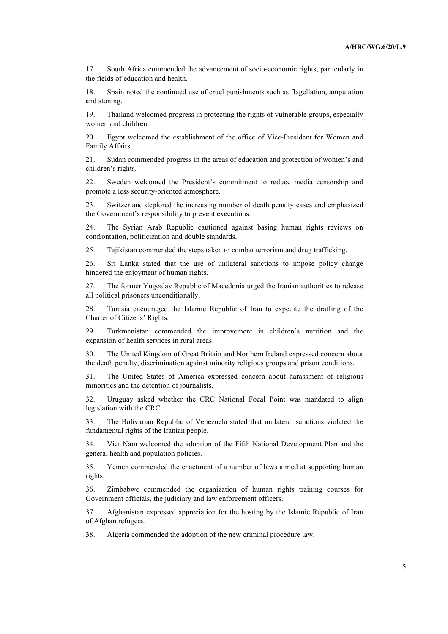17. South Africa commended the advancement of socio-economic rights, particularly in the fields of education and health.

18. Spain noted the continued use of cruel punishments such as flagellation, amputation and stoning.

19. Thailand welcomed progress in protecting the rights of vulnerable groups, especially women and children.

20. Egypt welcomed the establishment of the office of Vice-President for Women and Family Affairs.

21. Sudan commended progress in the areas of education and protection of women's and children's rights.

22. Sweden welcomed the President's commitment to reduce media censorship and promote a less security-oriented atmosphere.

23. Switzerland deplored the increasing number of death penalty cases and emphasized the Government's responsibility to prevent executions.

24. The Syrian Arab Republic cautioned against basing human rights reviews on confrontation, politicization and double standards.

25. Tajikistan commended the steps taken to combat terrorism and drug trafficking.

26. Sri Lanka stated that the use of unilateral sanctions to impose policy change hindered the enjoyment of human rights.

27. The former Yugoslav Republic of Macedonia urged the Iranian authorities to release all political prisoners unconditionally.

28. Tunisia encouraged the Islamic Republic of Iran to expedite the drafting of the Charter of Citizens' Rights.

29. Turkmenistan commended the improvement in children's nutrition and the expansion of health services in rural areas.

30. The United Kingdom of Great Britain and Northern Ireland expressed concern about the death penalty, discrimination against minority religious groups and prison conditions.

31. The United States of America expressed concern about harassment of religious minorities and the detention of journalists.

32. Uruguay asked whether the CRC National Focal Point was mandated to align legislation with the CRC.

33. The Bolivarian Republic of Venezuela stated that unilateral sanctions violated the fundamental rights of the Iranian people.

34. Viet Nam welcomed the adoption of the Fifth National Development Plan and the general health and population policies.

35. Yemen commended the enactment of a number of laws aimed at supporting human rights.

36. Zimbabwe commended the organization of human rights training courses for Government officials, the judiciary and law enforcement officers.

37. Afghanistan expressed appreciation for the hosting by the Islamic Republic of Iran of Afghan refugees.

38. Algeria commended the adoption of the new criminal procedure law.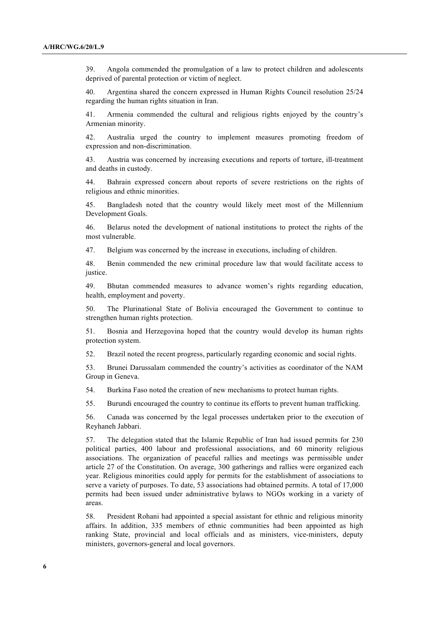39. Angola commended the promulgation of a law to protect children and adolescents deprived of parental protection or victim of neglect.

40. Argentina shared the concern expressed in Human Rights Council resolution 25/24 regarding the human rights situation in Iran.

41. Armenia commended the cultural and religious rights enjoyed by the country's Armenian minority.

42. Australia urged the country to implement measures promoting freedom of expression and non-discrimination.

43. Austria was concerned by increasing executions and reports of torture, ill-treatment and deaths in custody.

44. Bahrain expressed concern about reports of severe restrictions on the rights of religious and ethnic minorities.

45. Bangladesh noted that the country would likely meet most of the Millennium Development Goals.

46. Belarus noted the development of national institutions to protect the rights of the most vulnerable.

47. Belgium was concerned by the increase in executions, including of children.

48. Benin commended the new criminal procedure law that would facilitate access to justice.

49. Bhutan commended measures to advance women's rights regarding education, health, employment and poverty.

50. The Plurinational State of Bolivia encouraged the Government to continue to strengthen human rights protection.

51. Bosnia and Herzegovina hoped that the country would develop its human rights protection system.

52. Brazil noted the recent progress, particularly regarding economic and social rights.

53. Brunei Darussalam commended the country's activities as coordinator of the NAM Group in Geneva.

54. Burkina Faso noted the creation of new mechanisms to protect human rights.

55. Burundi encouraged the country to continue its efforts to prevent human trafficking.

56. Canada was concerned by the legal processes undertaken prior to the execution of Reyhaneh Jabbari.

57. The delegation stated that the Islamic Republic of Iran had issued permits for 230 political parties, 400 labour and professional associations, and 60 minority religious associations. The organization of peaceful rallies and meetings was permissible under article 27 of the Constitution. On average, 300 gatherings and rallies were organized each year. Religious minorities could apply for permits for the establishment of associations to serve a variety of purposes. To date, 53 associations had obtained permits. A total of 17,000 permits had been issued under administrative bylaws to NGOs working in a variety of areas.

58. President Rohani had appointed a special assistant for ethnic and religious minority affairs. In addition, 335 members of ethnic communities had been appointed as high ranking State, provincial and local officials and as ministers, vice-ministers, deputy ministers, governors-general and local governors.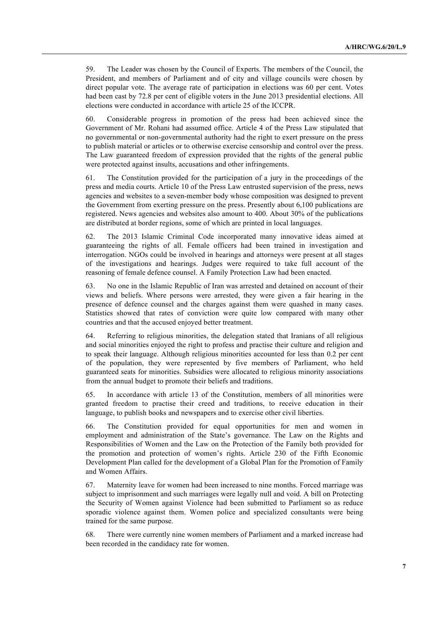59. The Leader was chosen by the Council of Experts. The members of the Council, the President, and members of Parliament and of city and village councils were chosen by direct popular vote. The average rate of participation in elections was 60 per cent. Votes had been cast by 72.8 per cent of eligible voters in the June 2013 presidential elections. All elections were conducted in accordance with article 25 of the ICCPR.

60. Considerable progress in promotion of the press had been achieved since the Government of Mr. Rohani had assumed office. Article 4 of the Press Law stipulated that no governmental or non-governmental authority had the right to exert pressure on the press to publish material or articles or to otherwise exercise censorship and control over the press. The Law guaranteed freedom of expression provided that the rights of the general public were protected against insults, accusations and other infringements.

61. The Constitution provided for the participation of a jury in the proceedings of the press and media courts. Article 10 of the Press Law entrusted supervision of the press, news agencies and websites to a seven-member body whose composition was designed to prevent the Government from exerting pressure on the press. Presently about 6,100 publications are registered. News agencies and websites also amount to 400. About 30% of the publications are distributed at border regions, some of which are printed in local languages.

62. The 2013 Islamic Criminal Code incorporated many innovative ideas aimed at guaranteeing the rights of all. Female officers had been trained in investigation and interrogation. NGOs could be involved in hearings and attorneys were present at all stages of the investigations and hearings. Judges were required to take full account of the reasoning of female defence counsel. A Family Protection Law had been enacted.

63. No one in the Islamic Republic of Iran was arrested and detained on account of their views and beliefs. Where persons were arrested, they were given a fair hearing in the presence of defence counsel and the charges against them were quashed in many cases. Statistics showed that rates of conviction were quite low compared with many other countries and that the accused enjoyed better treatment.

64. Referring to religious minorities, the delegation stated that Iranians of all religious and social minorities enjoyed the right to profess and practise their culture and religion and to speak their language. Although religious minorities accounted for less than 0.2 per cent of the population, they were represented by five members of Parliament, who held guaranteed seats for minorities. Subsidies were allocated to religious minority associations from the annual budget to promote their beliefs and traditions.

65. In accordance with article 13 of the Constitution, members of all minorities were granted freedom to practise their creed and traditions, to receive education in their language, to publish books and newspapers and to exercise other civil liberties.

66. The Constitution provided for equal opportunities for men and women in employment and administration of the State's governance. The Law on the Rights and Responsibilities of Women and the Law on the Protection of the Family both provided for the promotion and protection of women's rights. Article 230 of the Fifth Economic Development Plan called for the development of a Global Plan for the Promotion of Family and Women Affairs.

67. Maternity leave for women had been increased to nine months. Forced marriage was subject to imprisonment and such marriages were legally null and void. A bill on Protecting the Security of Women against Violence had been submitted to Parliament so as reduce sporadic violence against them. Women police and specialized consultants were being trained for the same purpose.

68. There were currently nine women members of Parliament and a marked increase had been recorded in the candidacy rate for women.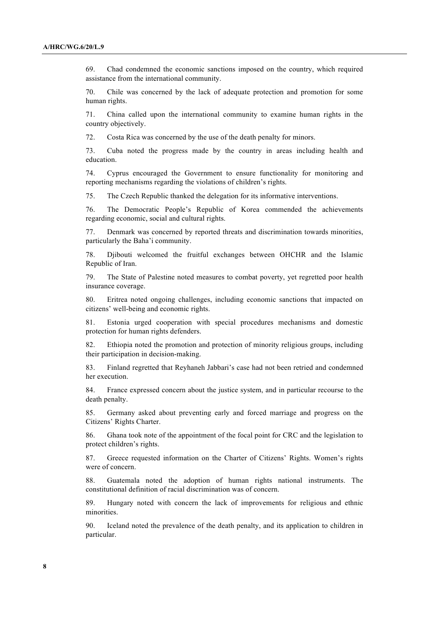69. Chad condemned the economic sanctions imposed on the country, which required assistance from the international community.

70. Chile was concerned by the lack of adequate protection and promotion for some human rights.

71. China called upon the international community to examine human rights in the country objectively.

72. Costa Rica was concerned by the use of the death penalty for minors.

73. Cuba noted the progress made by the country in areas including health and education.

74. Cyprus encouraged the Government to ensure functionality for monitoring and reporting mechanisms regarding the violations of children's rights.

75. The Czech Republic thanked the delegation for its informative interventions.

76. The Democratic People's Republic of Korea commended the achievements regarding economic, social and cultural rights.

77. Denmark was concerned by reported threats and discrimination towards minorities, particularly the Baha'i community.

78. Djibouti welcomed the fruitful exchanges between OHCHR and the Islamic Republic of Iran.

79. The State of Palestine noted measures to combat poverty, yet regretted poor health insurance coverage.

80. Eritrea noted ongoing challenges, including economic sanctions that impacted on citizens' well-being and economic rights.

81. Estonia urged cooperation with special procedures mechanisms and domestic protection for human rights defenders.

82. Ethiopia noted the promotion and protection of minority religious groups, including their participation in decision-making.

83. Finland regretted that Reyhaneh Jabbari's case had not been retried and condemned her execution.

84. France expressed concern about the justice system, and in particular recourse to the death penalty.

85. Germany asked about preventing early and forced marriage and progress on the Citizens' Rights Charter.

86. Ghana took note of the appointment of the focal point for CRC and the legislation to protect children's rights.

87. Greece requested information on the Charter of Citizens' Rights. Women's rights were of concern.

88. Guatemala noted the adoption of human rights national instruments. The constitutional definition of racial discrimination was of concern.

89. Hungary noted with concern the lack of improvements for religious and ethnic minorities.

90. Iceland noted the prevalence of the death penalty, and its application to children in particular.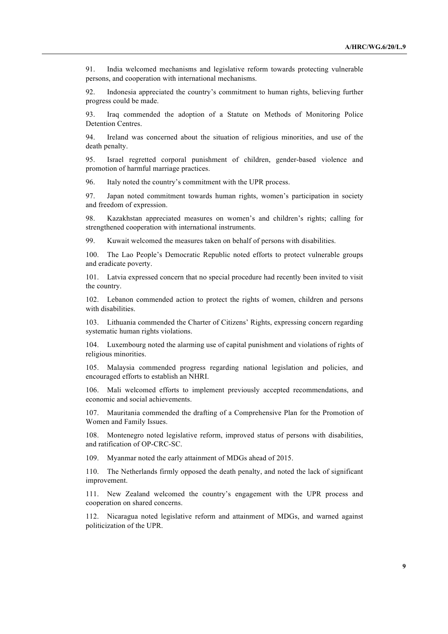91. India welcomed mechanisms and legislative reform towards protecting vulnerable persons, and cooperation with international mechanisms.

92. Indonesia appreciated the country's commitment to human rights, believing further progress could be made.

93. Iraq commended the adoption of a Statute on Methods of Monitoring Police Detention Centres.

94. Ireland was concerned about the situation of religious minorities, and use of the death penalty.

95. Israel regretted corporal punishment of children, gender-based violence and promotion of harmful marriage practices.

96. Italy noted the country's commitment with the UPR process.

97. Japan noted commitment towards human rights, women's participation in society and freedom of expression.

98. Kazakhstan appreciated measures on women's and children's rights; calling for strengthened cooperation with international instruments.

99. Kuwait welcomed the measures taken on behalf of persons with disabilities.

100. The Lao People's Democratic Republic noted efforts to protect vulnerable groups and eradicate poverty.

101. Latvia expressed concern that no special procedure had recently been invited to visit the country.

102. Lebanon commended action to protect the rights of women, children and persons with disabilities.

103. Lithuania commended the Charter of Citizens' Rights, expressing concern regarding systematic human rights violations.

104. Luxembourg noted the alarming use of capital punishment and violations of rights of religious minorities.

105. Malaysia commended progress regarding national legislation and policies, and encouraged efforts to establish an NHRI.

106. Mali welcomed efforts to implement previously accepted recommendations, and economic and social achievements.

107. Mauritania commended the drafting of a Comprehensive Plan for the Promotion of Women and Family Issues.

108. Montenegro noted legislative reform, improved status of persons with disabilities, and ratification of OP-CRC-SC.

109. Myanmar noted the early attainment of MDGs ahead of 2015.

110. The Netherlands firmly opposed the death penalty, and noted the lack of significant improvement.

111. New Zealand welcomed the country's engagement with the UPR process and cooperation on shared concerns.

112. Nicaragua noted legislative reform and attainment of MDGs, and warned against politicization of the UPR.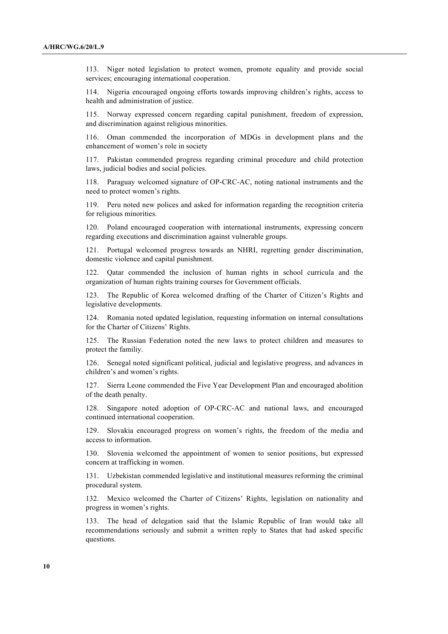113. Niger noted legislation to protect women, promote equality and provide social services; encouraging international cooperation.

114. Nigeria encouraged ongoing efforts towards improving children's rights, access to health and administration of justice.

115. Norway expressed concern regarding capital punishment, freedom of expression, and discrimination against religious minorities.

116. Oman commended the incorporation of MDGs in development plans and the enhancement of women's role in society

117. Pakistan commended progress regarding criminal procedure and child protection laws, judicial bodies and social policies.

118. Paraguay welcomed signature of OP-CRC-AC, noting national instruments and the need to protect women's rights.

119. Peru noted new polices and asked for information regarding the recognition criteria for religious minorities.

120. Poland encouraged cooperation with international instruments, expressing concern regarding executions and discrimination against vulnerable groups.

121. Portugal welcomed progress towards an NHRI, regretting gender discrimination, domestic violence and capital punishment.

Qatar commended the inclusion of human rights in school curricula and the organization of human rights training courses for Government officials.

123. The Republic of Korea welcomed drafting of the Charter of Citizen's Rights and legislative developments.

124. Romania noted updated legislation, requesting information on internal consultations for the Charter of Citizens' Rights.

125. The Russian Federation noted the new laws to protect children and measures to protect the familiy.

126. Senegal noted significant political, judicial and legislative progress, and advances in children's and women's rights.

127. Sierra Leone commended the Five Year Development Plan and encouraged abolition of the death penalty.

128. Singapore noted adoption of OP-CRC-AC and national laws, and encouraged continued international cooperation.

129. Slovakia encouraged progress on women's rights, the freedom of the media and access to information.

130. Slovenia welcomed the appointment of women to senior positions, but expressed concern at trafficking in women.

131. Uzbekistan commended legislative and institutional measures reforming the criminal procedural system.

132. Mexico welcomed the Charter of Citizens' Rights, legislation on nationality and progress in women's rights.

133. The head of delegation said that the Islamic Republic of Iran would take all recommendations seriously and submit a written reply to States that had asked specific questions.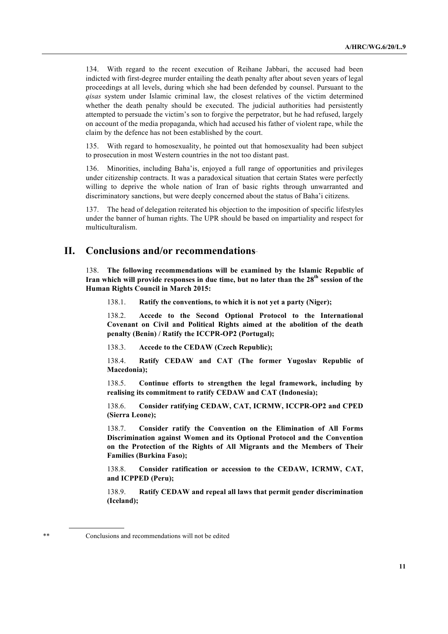134. With regard to the recent execution of Reihane Jabbari, the accused had been indicted with first-degree murder entailing the death penalty after about seven years of legal proceedings at all levels, during which she had been defended by counsel. Pursuant to the *qisas* system under Islamic criminal law, the closest relatives of the victim determined whether the death penalty should be executed. The judicial authorities had persistently attempted to persuade the victim's son to forgive the perpetrator, but he had refused, largely on account of the media propaganda, which had accused his father of violent rape, while the claim by the defence has not been established by the court.

With regard to homosexuality, he pointed out that homosexuality had been subject to prosecution in most Western countries in the not too distant past.

136. Minorities, including Baha'is, enjoyed a full range of opportunities and privileges under citizenship contracts. It was a paradoxical situation that certain States were perfectly willing to deprive the whole nation of Iran of basic rights through unwarranted and discriminatory sanctions, but were deeply concerned about the status of Baha'i citizens.

137. The head of delegation reiterated his objection to the imposition of specific lifestyles under the banner of human rights. The UPR should be based on impartiality and respect for multiculturalism.

#### **II. Conclusions and/or recommendations**∗∗

138. **The following recommendations will be examined by the Islamic Republic of Iran which will provide responses in due time, but no later than the 28th session of the Human Rights Council in March 2015:**

138.1. **Ratify the conventions, to which it is not yet a party (Niger);**

138.2. **Accede to the Second Optional Protocol to the International Covenant on Civil and Political Rights aimed at the abolition of the death penalty (Benin) / Ratify the ICCPR-OP2 (Portugal);**

138.3. **Accede to the CEDAW (Czech Republic);**

138.4. **Ratify CEDAW and CAT (The former Yugoslav Republic of Macedonia);** 

138.5. **Continue efforts to strengthen the legal framework, including by realising its commitment to ratify CEDAW and CAT (Indonesia);** 

138.6. **Consider ratifying CEDAW, CAT, ICRMW, ICCPR-OP2 and CPED (Sierra Leone);**

138.7. **Consider ratify the Convention on the Elimination of All Forms Discrimination against Women and its Optional Protocol and the Convention on the Protection of the Rights of All Migrants and the Members of Their Families (Burkina Faso);**

138.8. **Consider ratification or accession to the CEDAW, ICRMW, CAT, and ICPPED (Peru);**

138.9. **Ratify CEDAW and repeal all laws that permit gender discrimination (Iceland);**

Conclusions and recommendations will not be edited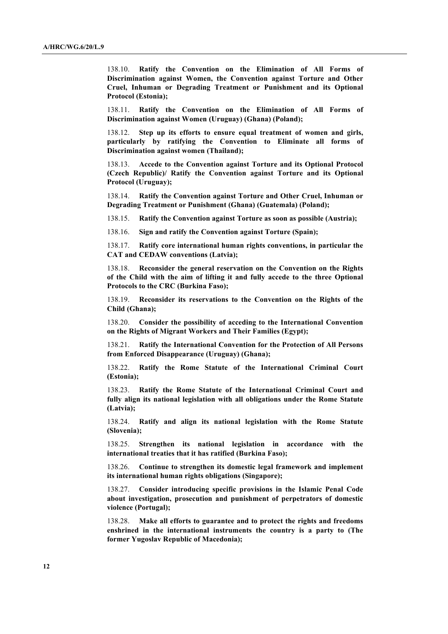138.10. **Ratify the Convention on the Elimination of All Forms of Discrimination against Women, the Convention against Torture and Other Cruel, Inhuman or Degrading Treatment or Punishment and its Optional Protocol (Estonia);**

138.11. **Ratify the Convention on the Elimination of All Forms of Discrimination against Women (Uruguay) (Ghana) (Poland);**

138.12. **Step up its efforts to ensure equal treatment of women and girls, particularly by ratifying the Convention to Eliminate all forms of Discrimination against women (Thailand);** 

138.13. **Accede to the Convention against Torture and its Optional Protocol (Czech Republic)/ Ratify the Convention against Torture and its Optional Protocol (Uruguay);**

138.14. **Ratify the Convention against Torture and Other Cruel, Inhuman or Degrading Treatment or Punishment (Ghana) (Guatemala) (Poland);**

138.15. **Ratify the Convention against Torture as soon as possible (Austria);**

138.16. **Sign and ratify the Convention against Torture (Spain);**

138.17. **Ratify core international human rights conventions, in particular the CAT and CEDAW conventions (Latvia);**

138.18. **Reconsider the general reservation on the Convention on the Rights of the Child with the aim of lifting it and fully accede to the three Optional Protocols to the CRC (Burkina Faso);**

138.19. **Reconsider its reservations to the Convention on the Rights of the Child (Ghana);**

138.20. **Consider the possibility of acceding to the International Convention on the Rights of Migrant Workers and Their Families (Egypt);**

138.21. **Ratify the International Convention for the Protection of All Persons from Enforced Disappearance (Uruguay) (Ghana);**

138.22. **Ratify the Rome Statute of the International Criminal Court (Estonia);**

138.23. **Ratify the Rome Statute of the International Criminal Court and fully align its national legislation with all obligations under the Rome Statute (Latvia);**

138.24. **Ratify and align its national legislation with the Rome Statute (Slovenia);**

138.25. **Strengthen its national legislation in accordance with the international treaties that it has ratified (Burkina Faso);**

138.26. **Continue to strengthen its domestic legal framework and implement its international human rights obligations (Singapore);** 

138.27. **Consider introducing specific provisions in the Islamic Penal Code about investigation, prosecution and punishment of perpetrators of domestic violence (Portugal);**

138.28. **Make all efforts to guarantee and to protect the rights and freedoms enshrined in the international instruments the country is a party to (The former Yugoslav Republic of Macedonia);**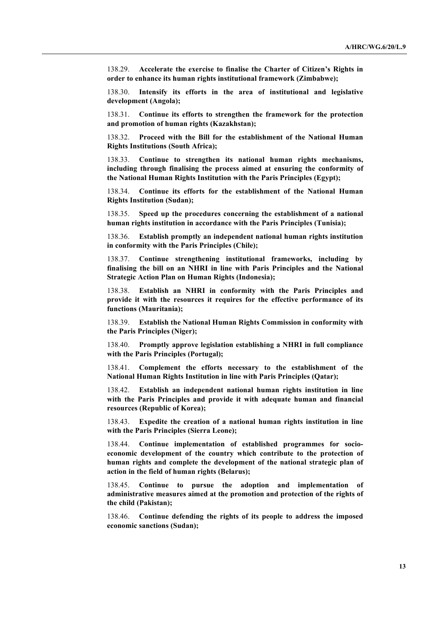138.29. **Accelerate the exercise to finalise the Charter of Citizen's Rights in order to enhance its human rights institutional framework (Zimbabwe);** 

138.30. **Intensify its efforts in the area of institutional and legislative development (Angola);**

138.31. **Continue its efforts to strengthen the framework for the protection and promotion of human rights (Kazakhstan);** 

138.32. **Proceed with the Bill for the establishment of the National Human Rights Institutions (South Africa);** 

138.33. **Continue to strengthen its national human rights mechanisms, including through finalising the process aimed at ensuring the conformity of the National Human Rights Institution with the Paris Principles (Egypt);**

138.34. **Continue its efforts for the establishment of the National Human Rights Institution (Sudan);** 

138.35. **Speed up the procedures concerning the establishment of a national human rights institution in accordance with the Paris Principles (Tunisia);** 

138.36. **Establish promptly an independent national human rights institution in conformity with the Paris Principles (Chile);**

138.37. **Continue strengthening institutional frameworks, including by finalising the bill on an NHRI in line with Paris Principles and the National Strategic Action Plan on Human Rights (Indonesia);** 

138.38. **Establish an NHRI in conformity with the Paris Principles and provide it with the resources it requires for the effective performance of its functions (Mauritania);**

138.39. **Establish the National Human Rights Commission in conformity with the Paris Principles (Niger);**

138.40. **Promptly approve legislation establishing a NHRI in full compliance with the Paris Principles (Portugal);**

138.41. **Complement the efforts necessary to the establishment of the National Human Rights Institution in line with Paris Principles (Qatar);**

138.42. **Establish an independent national human rights institution in line with the Paris Principles and provide it with adequate human and financial resources (Republic of Korea);** 

138.43. **Expedite the creation of a national human rights institution in line with the Paris Principles (Sierra Leone);**

138.44. **Continue implementation of established programmes for socioeconomic development of the country which contribute to the protection of human rights and complete the development of the national strategic plan of action in the field of human rights (Belarus);**

138.45. **Continue to pursue the adoption and implementation of administrative measures aimed at the promotion and protection of the rights of the child (Pakistan);**

138.46. **Continue defending the rights of its people to address the imposed economic sanctions (Sudan);**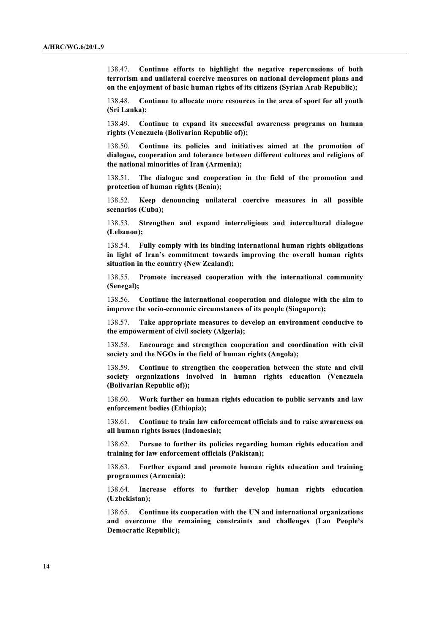138.47. **Continue efforts to highlight the negative repercussions of both terrorism and unilateral coercive measures on national development plans and on the enjoyment of basic human rights of its citizens (Syrian Arab Republic);** 

138.48. **Continue to allocate more resources in the area of sport for all youth (Sri Lanka);** 

138.49. **Continue to expand its successful awareness programs on human rights (Venezuela (Bolivarian Republic of));** 

138.50. **Continue its policies and initiatives aimed at the promotion of dialogue, cooperation and tolerance between different cultures and religions of the national minorities of Iran (Armenia);**

138.51. **The dialogue and cooperation in the field of the promotion and protection of human rights (Benin);**

138.52. **Keep denouncing unilateral coercive measures in all possible scenarios (Cuba);** 

138.53. **Strengthen and expand interreligious and intercultural dialogue (Lebanon);**

138.54. **Fully comply with its binding international human rights obligations in light of Iran's commitment towards improving the overall human rights situation in the country (New Zealand);**

138.55. **Promote increased cooperation with the international community (Senegal);**

138.56. **Continue the international cooperation and dialogue with the aim to improve the socio-economic circumstances of its people (Singapore);** 

138.57. **Take appropriate measures to develop an environment conducive to the empowerment of civil society (Algeria);**

138.58. **Encourage and strengthen cooperation and coordination with civil society and the NGOs in the field of human rights (Angola);**

138.59. **Continue to strengthen the cooperation between the state and civil society organizations involved in human rights education (Venezuela (Bolivarian Republic of));** 

138.60. **Work further on human rights education to public servants and law enforcement bodies (Ethiopia);**

138.61. **Continue to train law enforcement officials and to raise awareness on all human rights issues (Indonesia);** 

138.62. **Pursue to further its policies regarding human rights education and training for law enforcement officials (Pakistan);**

138.63. **Further expand and promote human rights education and training programmes (Armenia);**

138.64. **Increase efforts to further develop human rights education (Uzbekistan);**

138.65. **Continue its cooperation with the UN and international organizations and overcome the remaining constraints and challenges (Lao People's Democratic Republic);**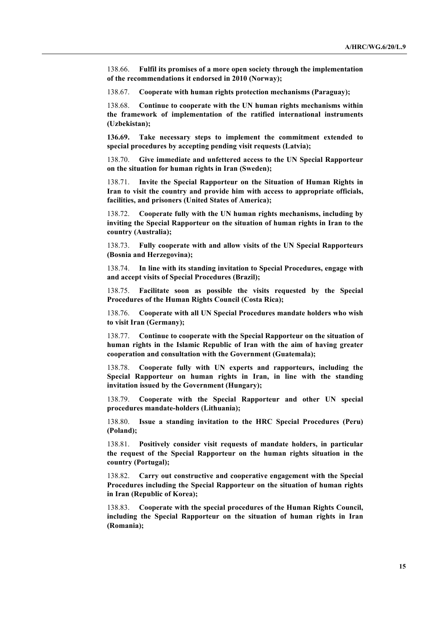138.66. **Fulfil its promises of a more open society through the implementation of the recommendations it endorsed in 2010 (Norway);**

138.67. **Cooperate with human rights protection mechanisms (Paraguay);**

138.68. **Continue to cooperate with the UN human rights mechanisms within the framework of implementation of the ratified international instruments (Uzbekistan);**

**136.69. Take necessary steps to implement the commitment extended to special procedures by accepting pending visit requests (Latvia);**

138.70. **Give immediate and unfettered access to the UN Special Rapporteur on the situation for human rights in Iran (Sweden);** 

138.71. **Invite the Special Rapporteur on the Situation of Human Rights in Iran to visit the country and provide him with access to appropriate officials, facilities, and prisoners (United States of America);** 

138.72. **Cooperate fully with the UN human rights mechanisms, including by inviting the Special Rapporteur on the situation of human rights in Iran to the country (Australia);**

138.73. **Fully cooperate with and allow visits of the UN Special Rapporteurs (Bosnia and Herzegovina);**

138.74. **In line with its standing invitation to Special Procedures, engage with and accept visits of Special Procedures (Brazil);**

138.75. **Facilitate soon as possible the visits requested by the Special Procedures of the Human Rights Council (Costa Rica);**

138.76. **Cooperate with all UN Special Procedures mandate holders who wish to visit Iran (Germany);**

138.77. **Continue to cooperate with the Special Rapporteur on the situation of human rights in the Islamic Republic of Iran with the aim of having greater cooperation and consultation with the Government (Guatemala);** 

138.78. **Cooperate fully with UN experts and rapporteurs, including the Special Rapporteur on human rights in Iran, in line with the standing invitation issued by the Government (Hungary);**

138.79. **Cooperate with the Special Rapporteur and other UN special procedures mandate-holders (Lithuania);**

138.80. **Issue a standing invitation to the HRC Special Procedures (Peru) (Poland);**

138.81. **Positively consider visit requests of mandate holders, in particular the request of the Special Rapporteur on the human rights situation in the country (Portugal);**

138.82. **Carry out constructive and cooperative engagement with the Special Procedures including the Special Rapporteur on the situation of human rights in Iran (Republic of Korea);** 

138.83. **Cooperate with the special procedures of the Human Rights Council, including the Special Rapporteur on the situation of human rights in Iran (Romania);**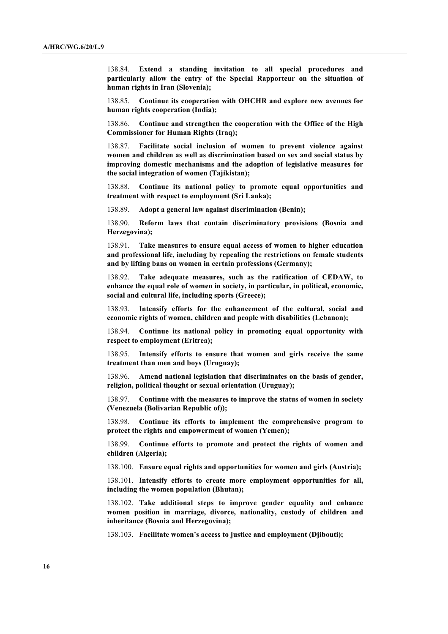138.84. **Extend a standing invitation to all special procedures and particularly allow the entry of the Special Rapporteur on the situation of human rights in Iran (Slovenia);**

138.85. **Continue its cooperation with OHCHR and explore new avenues for human rights cooperation (India);**

138.86. **Continue and strengthen the cooperation with the Office of the High Commissioner for Human Rights (Iraq);**

138.87. **Facilitate social inclusion of women to prevent violence against women and children as well as discrimination based on sex and social status by improving domestic mechanisms and the adoption of legislative measures for the social integration of women (Tajikistan);**

138.88. **Continue its national policy to promote equal opportunities and treatment with respect to employment (Sri Lanka);** 

138.89. **Adopt a general law against discrimination (Benin);**

138.90. **Reform laws that contain discriminatory provisions (Bosnia and Herzegovina);**

138.91. **Take measures to ensure equal access of women to higher education and professional life, including by repealing the restrictions on female students and by lifting bans on women in certain professions (Germany);**

138.92. **Take adequate measures, such as the ratification of CEDAW, to enhance the equal role of women in society, in particular, in political, economic, social and cultural life, including sports (Greece);**

138.93. **Intensify efforts for the enhancement of the cultural, social and economic rights of women, children and people with disabilities (Lebanon);**

138.94. **Continue its national policy in promoting equal opportunity with respect to employment (Eritrea);**

138.95. **Intensify efforts to ensure that women and girls receive the same treatment than men and boys (Uruguay);** 

138.96. **Amend national legislation that discriminates on the basis of gender, religion, political thought or sexual orientation (Uruguay);** 

138.97. **Continue with the measures to improve the status of women in society (Venezuela (Bolivarian Republic of));** 

138.98. **Continue its efforts to implement the comprehensive program to protect the rights and empowerment of women (Yemen);** 

138.99. **Continue efforts to promote and protect the rights of women and children (Algeria);**

138.100. **Ensure equal rights and opportunities for women and girls (Austria);**

138.101. **Intensify efforts to create more employment opportunities for all, including the women population (Bhutan);**

138.102. **Take additional steps to improve gender equality and enhance women position in marriage, divorce, nationality, custody of children and inheritance (Bosnia and Herzegovina);**

138.103. **Facilitate women's access to justice and employment (Djibouti);**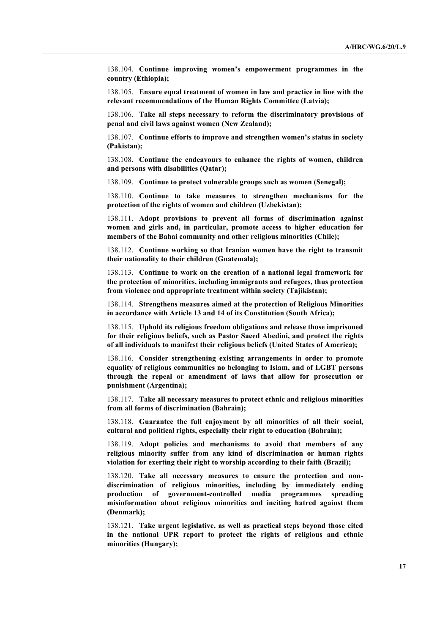138.104. **Continue improving women's empowerment programmes in the country (Ethiopia);**

138.105. **Ensure equal treatment of women in law and practice in line with the relevant recommendations of the Human Rights Committee (Latvia);**

138.106. **Take all steps necessary to reform the discriminatory provisions of penal and civil laws against women (New Zealand);**

138.107. **Continue efforts to improve and strengthen women's status in society (Pakistan);**

138.108. **Continue the endeavours to enhance the rights of women, children and persons with disabilities (Qatar);**

138.109. **Continue to protect vulnerable groups such as women (Senegal);** 

138.110. **Continue to take measures to strengthen mechanisms for the protection of the rights of women and children (Uzbekistan);**

138.111. **Adopt provisions to prevent all forms of discrimination against women and girls and, in particular, promote access to higher education for members of the Bahai community and other religious minorities (Chile);**

138.112. **Continue working so that Iranian women have the right to transmit their nationality to their children (Guatemala);** 

138.113. **Continue to work on the creation of a national legal framework for the protection of minorities, including immigrants and refugees, thus protection from violence and appropriate treatment within society (Tajikistan);**

138.114. **Strengthens measures aimed at the protection of Religious Minorities in accordance with Article 13 and 14 of its Constitution (South Africa);** 

138.115. **Uphold its religious freedom obligations and release those imprisoned for their religious beliefs, such as Pastor Saeed Abedini, and protect the rights of all individuals to manifest their religious beliefs (United States of America);** 

138.116. **Consider strengthening existing arrangements in order to promote equality of religious communities no belonging to Islam, and of LGBT persons through the repeal or amendment of laws that allow for prosecution or punishment (Argentina);**

138.117. **Take all necessary measures to protect ethnic and religious minorities from all forms of discrimination (Bahrain);**

138.118. **Guarantee the full enjoyment by all minorities of all their social, cultural and political rights, especially their right to education (Bahrain);**

138.119. **Adopt policies and mechanisms to avoid that members of any religious minority suffer from any kind of discrimination or human rights violation for exerting their right to worship according to their faith (Brazil);**

138.120. **Take all necessary measures to ensure the protection and nondiscrimination of religious minorities, including by immediately ending production of government-controlled media programmes spreading misinformation about religious minorities and inciting hatred against them (Denmark);**

138.121. **Take urgent legislative, as well as practical steps beyond those cited in the national UPR report to protect the rights of religious and ethnic minorities (Hungary);**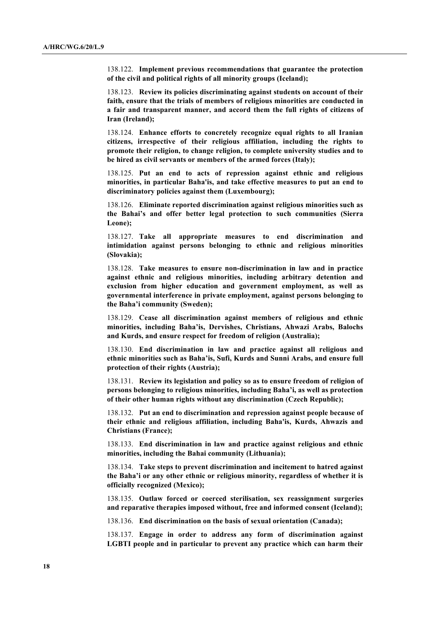138.122. **Implement previous recommendations that guarantee the protection of the civil and political rights of all minority groups (Iceland);**

138.123. **Review its policies discriminating against students on account of their faith, ensure that the trials of members of religious minorities are conducted in a fair and transparent manner, and accord them the full rights of citizens of Iran (Ireland);**

138.124. **Enhance efforts to concretely recognize equal rights to all Iranian citizens, irrespective of their religious affiliation, including the rights to promote their religion, to change religion, to complete university studies and to be hired as civil servants or members of the armed forces (Italy);**

138.125. **Put an end to acts of repression against ethnic and religious minorities, in particular Baha'is, and take effective measures to put an end to discriminatory policies against them (Luxembourg);**

138.126. **Eliminate reported discrimination against religious minorities such as the Bahai's and offer better legal protection to such communities (Sierra Leone);**

138.127. **Take all appropriate measures to end discrimination and intimidation against persons belonging to ethnic and religious minorities (Slovakia);**

138.128. **Take measures to ensure non-discrimination in law and in practice against ethnic and religious minorities, including arbitrary detention and exclusion from higher education and government employment, as well as governmental interference in private employment, against persons belonging to the Baha'i community (Sweden);** 

138.129. **Cease all discrimination against members of religious and ethnic minorities, including Baha'is, Dervishes, Christians, Ahwazi Arabs, Balochs and Kurds, and ensure respect for freedom of religion (Australia);**

138.130. **End discrimination in law and practice against all religious and ethnic minorities such as Baha'is, Sufi, Kurds and Sunni Arabs, and ensure full protection of their rights (Austria);**

138.131. **Review its legislation and policy so as to ensure freedom of religion of persons belonging to religious minorities, including Baha'i, as well as protection of their other human rights without any discrimination (Czech Republic);**

138.132. **Put an end to discrimination and repression against people because of their ethnic and religious affiliation, including Baha'is, Kurds, Ahwazis and Christians (France);**

138.133. **End discrimination in law and practice against religious and ethnic minorities, including the Bahai community (Lithuania);**

138.134. **Take steps to prevent discrimination and incitement to hatred against the Baha'i or any other ethnic or religious minority, regardless of whether it is officially recognized (Mexico);** 

138.135. **Outlaw forced or coerced sterilisation, sex reassignment surgeries and reparative therapies imposed without, free and informed consent (Iceland);**

138.136. **End discrimination on the basis of sexual orientation (Canada);**

138.137. **Engage in order to address any form of discrimination against LGBTI people and in particular to prevent any practice which can harm their**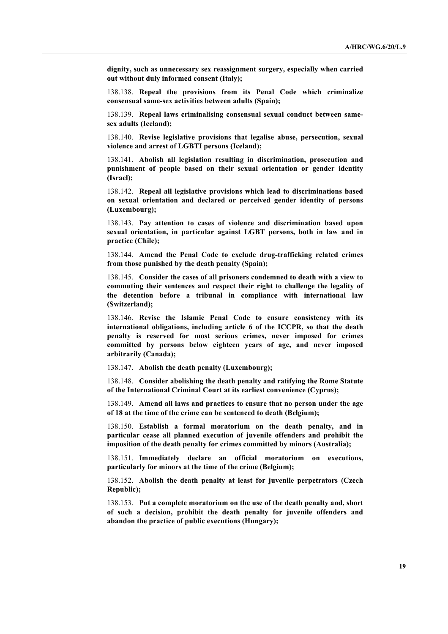**dignity, such as unnecessary sex reassignment surgery, especially when carried out without duly informed consent (Italy);**

138.138. **Repeal the provisions from its Penal Code which criminalize consensual same-sex activities between adults (Spain);** 

138.139. **Repeal laws criminalising consensual sexual conduct between samesex adults (Iceland);**

138.140. **Revise legislative provisions that legalise abuse, persecution, sexual violence and arrest of LGBTI persons (Iceland);**

138.141. **Abolish all legislation resulting in discrimination, prosecution and punishment of people based on their sexual orientation or gender identity (Israel);**

138.142. **Repeal all legislative provisions which lead to discriminations based on sexual orientation and declared or perceived gender identity of persons (Luxembourg);**

138.143. **Pay attention to cases of violence and discrimination based upon sexual orientation, in particular against LGBT persons, both in law and in practice (Chile);**

138.144. **Amend the Penal Code to exclude drug-trafficking related crimes from those punished by the death penalty (Spain);** 

138.145. **Consider the cases of all prisoners condemned to death with a view to commuting their sentences and respect their right to challenge the legality of the detention before a tribunal in compliance with international law (Switzerland);** 

138.146. **Revise the Islamic Penal Code to ensure consistency with its international obligations, including article 6 of the ICCPR, so that the death penalty is reserved for most serious crimes, never imposed for crimes committed by persons below eighteen years of age, and never imposed arbitrarily (Canada);**

138.147. **Abolish the death penalty (Luxembourg);** 

138.148. **Consider abolishing the death penalty and ratifying the Rome Statute of the International Criminal Court at its earliest convenience (Cyprus);**

138.149. **Amend all laws and practices to ensure that no person under the age of 18 at the time of the crime can be sentenced to death (Belgium);**

138.150. **Establish a formal moratorium on the death penalty, and in particular cease all planned execution of juvenile offenders and prohibit the imposition of the death penalty for crimes committed by minors (Australia);**

138.151. **Immediately declare an official moratorium on executions, particularly for minors at the time of the crime (Belgium);**

138.152. **Abolish the death penalty at least for juvenile perpetrators (Czech Republic);**

138.153. **Put a complete moratorium on the use of the death penalty and, short of such a decision, prohibit the death penalty for juvenile offenders and abandon the practice of public executions (Hungary);**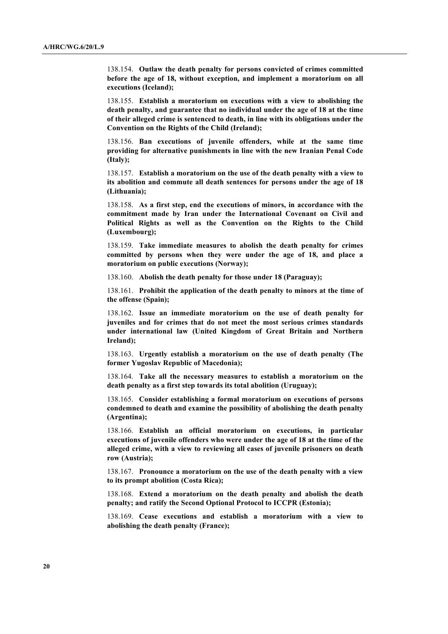138.154. **Outlaw the death penalty for persons convicted of crimes committed before the age of 18, without exception, and implement a moratorium on all executions (Iceland);**

138.155. **Establish a moratorium on executions with a view to abolishing the death penalty, and guarantee that no individual under the age of 18 at the time of their alleged crime is sentenced to death, in line with its obligations under the Convention on the Rights of the Child (Ireland);**

138.156. **Ban executions of juvenile offenders, while at the same time providing for alternative punishments in line with the new Iranian Penal Code (Italy);**

138.157. **Establish a moratorium on the use of the death penalty with a view to its abolition and commute all death sentences for persons under the age of 18 (Lithuania);**

138.158. **As a first step, end the executions of minors, in accordance with the commitment made by Iran under the International Covenant on Civil and Political Rights as well as the Convention on the Rights to the Child (Luxembourg);**

138.159. **Take immediate measures to abolish the death penalty for crimes committed by persons when they were under the age of 18, and place a moratorium on public executions (Norway);**

138.160. **Abolish the death penalty for those under 18 (Paraguay);** 

138.161. **Prohibit the application of the death penalty to minors at the time of the offense (Spain);** 

138.162. **Issue an immediate moratorium on the use of death penalty for juveniles and for crimes that do not meet the most serious crimes standards under international law (United Kingdom of Great Britain and Northern Ireland);** 

138.163. **Urgently establish a moratorium on the use of death penalty (The former Yugoslav Republic of Macedonia);** 

138.164. **Take all the necessary measures to establish a moratorium on the death penalty as a first step towards its total abolition (Uruguay);**

138.165. **Consider establishing a formal moratorium on executions of persons condemned to death and examine the possibility of abolishing the death penalty (Argentina);**

138.166. **Establish an official moratorium on executions, in particular executions of juvenile offenders who were under the age of 18 at the time of the alleged crime, with a view to reviewing all cases of juvenile prisoners on death row (Austria);**

138.167. **Pronounce a moratorium on the use of the death penalty with a view to its prompt abolition (Costa Rica);**

138.168. **Extend a moratorium on the death penalty and abolish the death penalty; and ratify the Second Optional Protocol to ICCPR (Estonia);**

138.169. **Cease executions and establish a moratorium with a view to abolishing the death penalty (France);**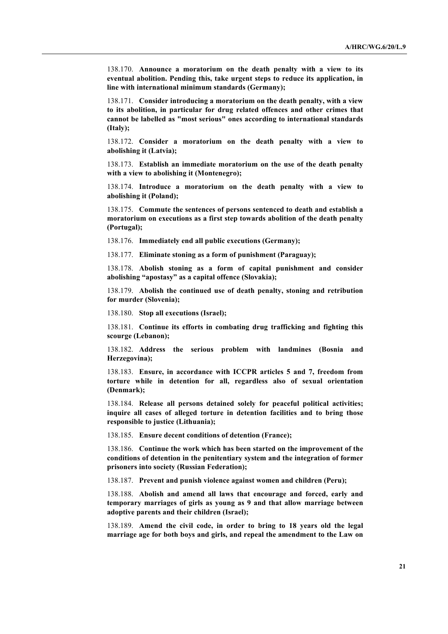138.170. **Announce a moratorium on the death penalty with a view to its eventual abolition. Pending this, take urgent steps to reduce its application, in line with international minimum standards (Germany);**

138.171. **Consider introducing a moratorium on the death penalty, with a view to its abolition, in particular for drug related offences and other crimes that cannot be labelled as "most serious" ones according to international standards (Italy);**

138.172. **Consider a moratorium on the death penalty with a view to abolishing it (Latvia);**

138.173. **Establish an immediate moratorium on the use of the death penalty with a view to abolishing it (Montenegro);**

138.174. **Introduce a moratorium on the death penalty with a view to abolishing it (Poland);**

138.175. **Commute the sentences of persons sentenced to death and establish a moratorium on executions as a first step towards abolition of the death penalty (Portugal);**

138.176. **Immediately end all public executions (Germany);**

138.177. **Eliminate stoning as a form of punishment (Paraguay);** 

138.178. **Abolish stoning as a form of capital punishment and consider abolishing "apostasy" as a capital offence (Slovakia);**

138.179. **Abolish the continued use of death penalty, stoning and retribution for murder (Slovenia);**

138.180. **Stop all executions (Israel);**

138.181. **Continue its efforts in combating drug trafficking and fighting this scourge (Lebanon);**

138.182. **Address the serious problem with landmines (Bosnia and Herzegovina);**

138.183. **Ensure, in accordance with ICCPR articles 5 and 7, freedom from torture while in detention for all, regardless also of sexual orientation (Denmark);**

138.184. **Release all persons detained solely for peaceful political activities; inquire all cases of alleged torture in detention facilities and to bring those responsible to justice (Lithuania);**

138.185. **Ensure decent conditions of detention (France);**

138.186. **Continue the work which has been started on the improvement of the conditions of detention in the penitentiary system and the integration of former prisoners into society (Russian Federation);**

138.187. **Prevent and punish violence against women and children (Peru);**

138.188. **Abolish and amend all laws that encourage and forced, early and temporary marriages of girls as young as 9 and that allow marriage between adoptive parents and their children (Israel);**

138.189. **Amend the civil code, in order to bring to 18 years old the legal marriage age for both boys and girls, and repeal the amendment to the Law on**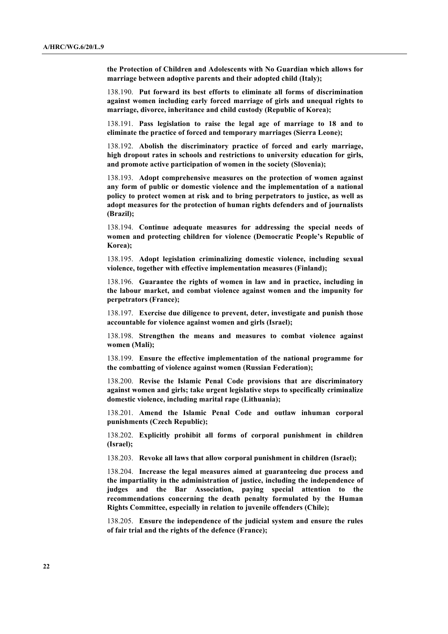**the Protection of Children and Adolescents with No Guardian which allows for marriage between adoptive parents and their adopted child (Italy);**

138.190. **Put forward its best efforts to eliminate all forms of discrimination against women including early forced marriage of girls and unequal rights to marriage, divorce, inheritance and child custody (Republic of Korea);** 

138.191. **Pass legislation to raise the legal age of marriage to 18 and to eliminate the practice of forced and temporary marriages (Sierra Leone);**

138.192. **Abolish the discriminatory practice of forced and early marriage, high dropout rates in schools and restrictions to university education for girls, and promote active participation of women in the society (Slovenia);**

138.193. **Adopt comprehensive measures on the protection of women against any form of public or domestic violence and the implementation of a national policy to protect women at risk and to bring perpetrators to justice, as well as adopt measures for the protection of human rights defenders and of journalists (Brazil);**

138.194. **Continue adequate measures for addressing the special needs of women and protecting children for violence (Democratic People's Republic of Korea);**

138.195. **Adopt legislation criminalizing domestic violence, including sexual violence, together with effective implementation measures (Finland);**

138.196. **Guarantee the rights of women in law and in practice, including in the labour market, and combat violence against women and the impunity for perpetrators (France);**

138.197. **Exercise due diligence to prevent, deter, investigate and punish those accountable for violence against women and girls (Israel);**

138.198. **Strengthen the means and measures to combat violence against women (Mali);**

138.199. **Ensure the effective implementation of the national programme for the combatting of violence against women (Russian Federation);**

138.200. **Revise the Islamic Penal Code provisions that are discriminatory against women and girls; take urgent legislative steps to specifically criminalize domestic violence, including marital rape (Lithuania);**

138.201. **Amend the Islamic Penal Code and outlaw inhuman corporal punishments (Czech Republic);**

138.202. **Explicitly prohibit all forms of corporal punishment in children (Israel);**

138.203. **Revoke all laws that allow corporal punishment in children (Israel);**

138.204. **Increase the legal measures aimed at guaranteeing due process and the impartiality in the administration of justice, including the independence of judges and the Bar Association, paying special attention to the recommendations concerning the death penalty formulated by the Human Rights Committee, especially in relation to juvenile offenders (Chile);**

138.205. **Ensure the independence of the judicial system and ensure the rules of fair trial and the rights of the defence (France);**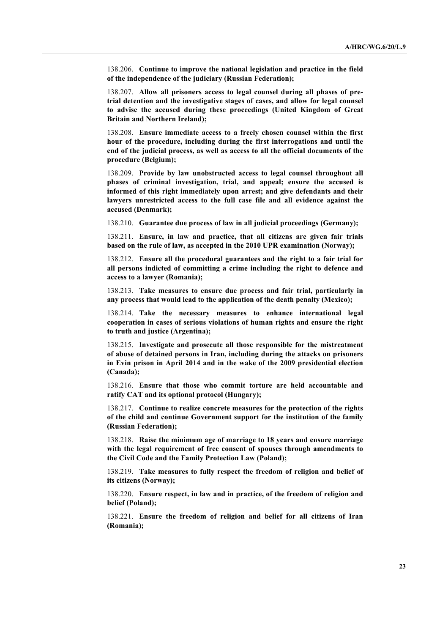138.206. **Continue to improve the national legislation and practice in the field of the independence of the judiciary (Russian Federation);**

138.207. **Allow all prisoners access to legal counsel during all phases of pretrial detention and the investigative stages of cases, and allow for legal counsel to advise the accused during these proceedings (United Kingdom of Great Britain and Northern Ireland);** 

138.208. **Ensure immediate access to a freely chosen counsel within the first hour of the procedure, including during the first interrogations and until the end of the judicial process, as well as access to all the official documents of the procedure (Belgium);**

138.209. **Provide by law unobstructed access to legal counsel throughout all phases of criminal investigation, trial, and appeal; ensure the accused is informed of this right immediately upon arrest; and give defendants and their lawyers unrestricted access to the full case file and all evidence against the accused (Denmark);**

138.210. **Guarantee due process of law in all judicial proceedings (Germany);**

138.211. **Ensure, in law and practice, that all citizens are given fair trials based on the rule of law, as accepted in the 2010 UPR examination (Norway);**

138.212. **Ensure all the procedural guarantees and the right to a fair trial for all persons indicted of committing a crime including the right to defence and access to a lawyer (Romania);** 

138.213. **Take measures to ensure due process and fair trial, particularly in any process that would lead to the application of the death penalty (Mexico);**

138.214. **Take the necessary measures to enhance international legal cooperation in cases of serious violations of human rights and ensure the right to truth and justice (Argentina);**

138.215. **Investigate and prosecute all those responsible for the mistreatment of abuse of detained persons in Iran, including during the attacks on prisoners in Evin prison in April 2014 and in the wake of the 2009 presidential election (Canada);**

138.216. **Ensure that those who commit torture are held accountable and ratify CAT and its optional protocol (Hungary);**

138.217. **Continue to realize concrete measures for the protection of the rights of the child and continue Government support for the institution of the family (Russian Federation);**

138.218. **Raise the minimum age of marriage to 18 years and ensure marriage with the legal requirement of free consent of spouses through amendments to the Civil Code and the Family Protection Law (Poland);**

138.219. **Take measures to fully respect the freedom of religion and belief of its citizens (Norway);**

138.220. **Ensure respect, in law and in practice, of the freedom of religion and belief (Poland);**

138.221. **Ensure the freedom of religion and belief for all citizens of Iran (Romania);**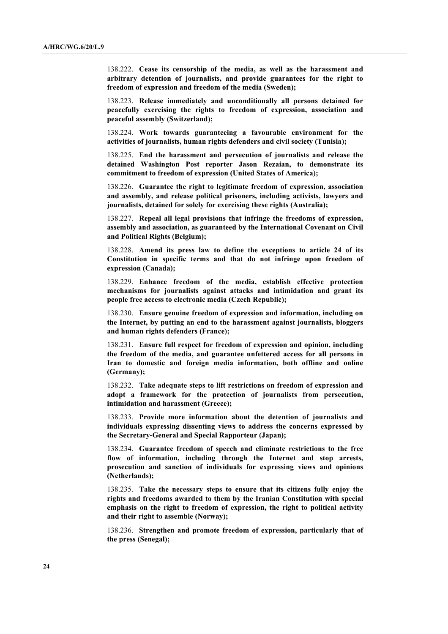138.222. **Cease its censorship of the media, as well as the harassment and arbitrary detention of journalists, and provide guarantees for the right to freedom of expression and freedom of the media (Sweden);** 

138.223. **Release immediately and unconditionally all persons detained for peacefully exercising the rights to freedom of expression, association and peaceful assembly (Switzerland);**

138.224. **Work towards guaranteeing a favourable environment for the activities of journalists, human rights defenders and civil society (Tunisia);**

138.225. **End the harassment and persecution of journalists and release the detained Washington Post reporter Jason Rezaian, to demonstrate its commitment to freedom of expression (United States of America);** 

138.226. **Guarantee the right to legitimate freedom of expression, association and assembly, and release political prisoners, including activists, lawyers and journalists, detained for solely for exercising these rights (Australia);**

138.227. **Repeal all legal provisions that infringe the freedoms of expression, assembly and association, as guaranteed by the International Covenant on Civil and Political Rights (Belgium);**

138.228. **Amend its press law to define the exceptions to article 24 of its Constitution in specific terms and that do not infringe upon freedom of expression (Canada);**

138.229. **Enhance freedom of the media, establish effective protection mechanisms for journalists against attacks and intimidation and grant its people free access to electronic media (Czech Republic);**

138.230. **Ensure genuine freedom of expression and information, including on the Internet, by putting an end to the harassment against journalists, bloggers and human rights defenders (France);**

138.231. **Ensure full respect for freedom of expression and opinion, including the freedom of the media, and guarantee unfettered access for all persons in Iran to domestic and foreign media information, both offline and online (Germany);**

138.232. **Take adequate steps to lift restrictions on freedom of expression and adopt a framework for the protection of journalists from persecution, intimidation and harassment (Greece);**

138.233. **Provide more information about the detention of journalists and individuals expressing dissenting views to address the concerns expressed by the Secretary-General and Special Rapporteur (Japan);**

138.234. **Guarantee freedom of speech and eliminate restrictions to the free flow of information, including through the Internet and stop arrests, prosecution and sanction of individuals for expressing views and opinions (Netherlands);**

138.235. **Take the necessary steps to ensure that its citizens fully enjoy the rights and freedoms awarded to them by the Iranian Constitution with special emphasis on the right to freedom of expression, the right to political activity and their right to assemble (Norway);**

138.236. **Strengthen and promote freedom of expression, particularly that of the press (Senegal);**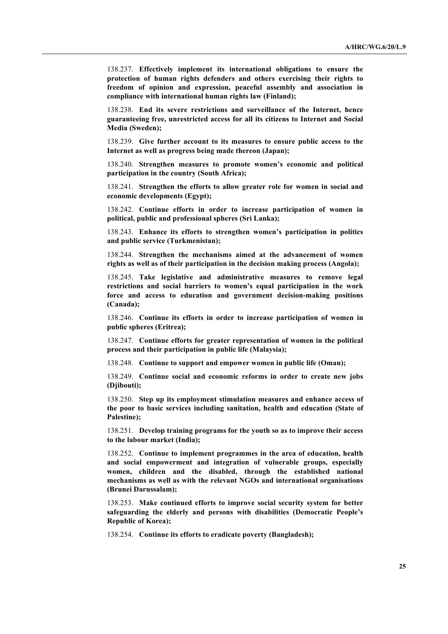138.237. **Effectively implement its international obligations to ensure the protection of human rights defenders and others exercising their rights to freedom of opinion and expression, peaceful assembly and association in compliance with international human rights law (Finland);**

138.238. **End its severe restrictions and surveillance of the Internet, hence guaranteeing free, unrestricted access for all its citizens to Internet and Social Media (Sweden);** 

138.239. **Give further account to its measures to ensure public access to the Internet as well as progress being made thereon (Japan);**

138.240. **Strengthen measures to promote women's economic and political participation in the country (South Africa);** 

138.241. **Strengthen the efforts to allow greater role for women in social and economic developments (Egypt);**

138.242. **Continue efforts in order to increase participation of women in political, public and professional spheres (Sri Lanka);** 

138.243. **Enhance its efforts to strengthen women's participation in politics and public service (Turkmenistan);**

138.244. **Strengthen the mechanisms aimed at the advancement of women rights as well as of their participation in the decision making process (Angola);**

138.245. **Take legislative and administrative measures to remove legal restrictions and social barriers to women's equal participation in the work force and access to education and government decision-making positions (Canada);**

138.246. **Continue its efforts in order to increase participation of women in public spheres (Eritrea);**

138.247. **Continue efforts for greater representation of women in the political process and their participation in public life (Malaysia);**

138.248. **Continue to support and empower women in public life (Oman);** 

138.249. **Continue social and economic reforms in order to create new jobs (Djibouti);**

138.250. **Step up its employment stimulation measures and enhance access of the poor to basic services including sanitation, health and education (State of Palestine);** 

138.251. **Develop training programs for the youth so as to improve their access to the labour market (India);**

138.252. **Continue to implement programmes in the area of education, health and social empowerment and integration of vulnerable groups, especially women, children and the disabled, through the established national mechanisms as well as with the relevant NGOs and international organisations (Brunei Darussalam);**

138.253. **Make continued efforts to improve social security system for better safeguarding the elderly and persons with disabilities (Democratic People's Republic of Korea);**

138.254. **Continue its efforts to eradicate poverty (Bangladesh);**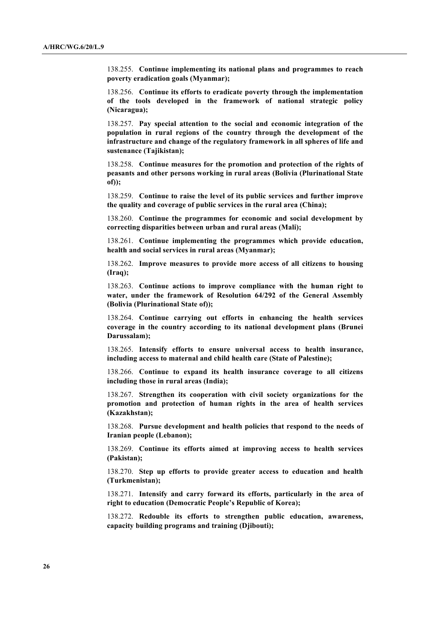138.255. **Continue implementing its national plans and programmes to reach poverty eradication goals (Myanmar);**

138.256. **Continue its efforts to eradicate poverty through the implementation of the tools developed in the framework of national strategic policy (Nicaragua);**

138.257. **Pay special attention to the social and economic integration of the population in rural regions of the country through the development of the infrastructure and change of the regulatory framework in all spheres of life and sustenance (Tajikistan);**

138.258. **Continue measures for the promotion and protection of the rights of peasants and other persons working in rural areas (Bolivia (Plurinational State of));**

138.259. **Continue to raise the level of its public services and further improve the quality and coverage of public services in the rural area (China);**

138.260. **Continue the programmes for economic and social development by correcting disparities between urban and rural areas (Mali);**

138.261. **Continue implementing the programmes which provide education, health and social services in rural areas (Myanmar);**

138.262. **Improve measures to provide more access of all citizens to housing (Iraq);**

138.263. **Continue actions to improve compliance with the human right to water, under the framework of Resolution 64/292 of the General Assembly (Bolivia (Plurinational State of));** 

138.264. **Continue carrying out efforts in enhancing the health services coverage in the country according to its national development plans (Brunei Darussalam);**

138.265. **Intensify efforts to ensure universal access to health insurance, including access to maternal and child health care (State of Palestine);** 

138.266. **Continue to expand its health insurance coverage to all citizens including those in rural areas (India);** 

138.267. **Strengthen its cooperation with civil society organizations for the promotion and protection of human rights in the area of health services (Kazakhstan);**

138.268. **Pursue development and health policies that respond to the needs of Iranian people (Lebanon);**

138.269. **Continue its efforts aimed at improving access to health services (Pakistan);**

138.270. **Step up efforts to provide greater access to education and health (Turkmenistan);**

138.271. **Intensify and carry forward its efforts, particularly in the area of right to education (Democratic People's Republic of Korea);**

138.272. **Redouble its efforts to strengthen public education, awareness, capacity building programs and training (Djibouti);**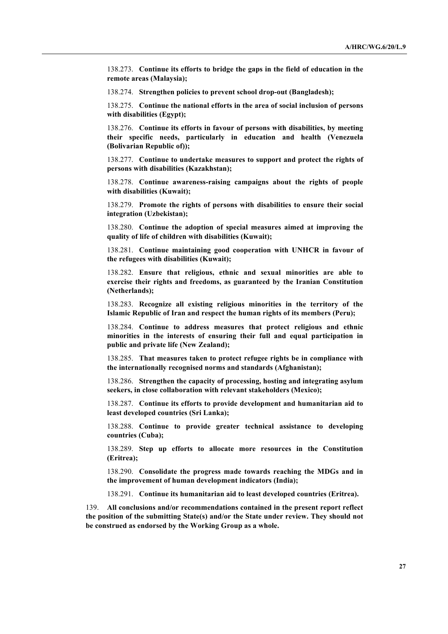138.273. **Continue its efforts to bridge the gaps in the field of education in the remote areas (Malaysia);**

138.274. **Strengthen policies to prevent school drop-out (Bangladesh);**

138.275. **Continue the national efforts in the area of social inclusion of persons with disabilities (Egypt);**

138.276. **Continue its efforts in favour of persons with disabilities, by meeting their specific needs, particularly in education and health (Venezuela (Bolivarian Republic of));**

138.277. **Continue to undertake measures to support and protect the rights of persons with disabilities (Kazakhstan);**

138.278. **Continue awareness-raising campaigns about the rights of people with disabilities (Kuwait);**

138.279. **Promote the rights of persons with disabilities to ensure their social integration (Uzbekistan);**

138.280. **Continue the adoption of special measures aimed at improving the quality of life of children with disabilities (Kuwait);** 

138.281. **Continue maintaining good cooperation with UNHCR in favour of the refugees with disabilities (Kuwait);**

138.282. **Ensure that religious, ethnic and sexual minorities are able to exercise their rights and freedoms, as guaranteed by the Iranian Constitution (Netherlands);**

138.283. **Recognize all existing religious minorities in the territory of the Islamic Republic of Iran and respect the human rights of its members (Peru);** 

138.284. **Continue to address measures that protect religious and ethnic minorities in the interests of ensuring their full and equal participation in public and private life (New Zealand);**

138.285. **That measures taken to protect refugee rights be in compliance with the internationally recognised norms and standards (Afghanistan);**

138.286. **Strengthen the capacity of processing, hosting and integrating asylum seekers, in close collaboration with relevant stakeholders (Mexico);**

138.287. **Continue its efforts to provide development and humanitarian aid to least developed countries (Sri Lanka);** 

138.288. **Continue to provide greater technical assistance to developing countries (Cuba);**

138.289. **Step up efforts to allocate more resources in the Constitution (Eritrea);**

138.290. **Consolidate the progress made towards reaching the MDGs and in the improvement of human development indicators (India);**

138.291. **Continue its humanitarian aid to least developed countries (Eritrea).**

139. **All conclusions and/or recommendations contained in the present report reflect the position of the submitting State(s) and/or the State under review. They should not be construed as endorsed by the Working Group as a whole.**